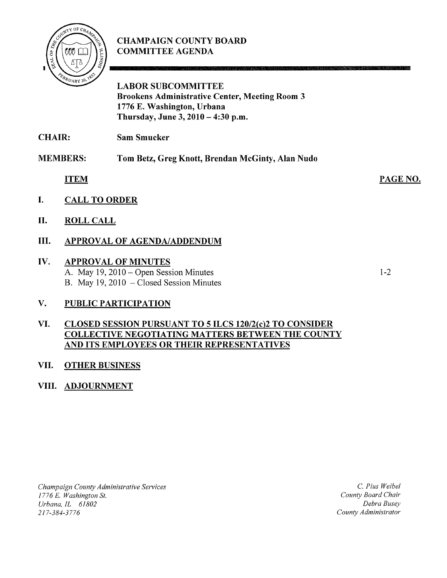

# CHAMPAIGN COUNTY BOARD COMMITTEE AGENDA

LABOR SUBCOMMITTEE Brookens Administrative Center, Meeting Room 3 1776 E. Washington, Urbana Thursday, June 3, 2010 - 4:30 p.m.

CHAIR: Sam Smucker

MEMBERS: Tom Betz, Greg Knott, Brendan McGinty, Alan Nudo

ITEM

- I. CALL TO ORDER
- II. ROLL CALL

## III. APPROVAL OF AGENDA/ADDENDUM

#### IV. APPROVAL OF MINUTES A. May 19, 2010 - Open Session Minutes B. May 19, 2010 - Closed Session Minutes

1-2

PAGE NO.

## V. PUBLIC PARTICIPATION

#### VI. CLOSED SESSION PURSUANT TO 5 ILCS 120/2(c)2 TO CONSIDER COLLECTIVE NEGOTIATING MATTERS BETWEEN THE COUNTY AND ITS EMPLOYEES OR THEIR REPRESENTATIVES

## VII. OTHER BUSINESS

#### VIII. ADJOURNMENT

*Champaign County Administrative Services 1776* E. *Washington* St. *Urbana, lL 61802*  217-384-3776

C. *Pius Weibel County Board Chair Debra Busey County Administrator*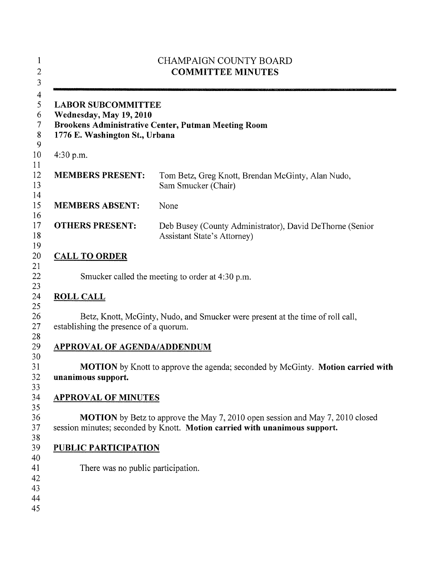| <b>CHAMPAIGN COUNTY BOARD</b><br><b>COMMITTEE MINUTES</b>                              |                                                                                                                                                                    |
|----------------------------------------------------------------------------------------|--------------------------------------------------------------------------------------------------------------------------------------------------------------------|
| <b>LABOR SUBCOMMITTEE</b><br>Wednesday, May 19, 2010<br>1776 E. Washington St., Urbana | Brookens Administrative Center, Putman Meeting Room                                                                                                                |
| $4:30$ p.m.                                                                            |                                                                                                                                                                    |
| <b>MEMBERS PRESENT:</b>                                                                | Tom Betz, Greg Knott, Brendan McGinty, Alan Nudo,<br>Sam Smucker (Chair)                                                                                           |
| <b>MEMBERS ABSENT:</b>                                                                 | None                                                                                                                                                               |
| <b>OTHERS PRESENT:</b>                                                                 | Deb Busey (County Administrator), David DeThorne (Senior<br>Assistant State's Attorney)                                                                            |
| <b>CALL TO ORDER</b>                                                                   |                                                                                                                                                                    |
|                                                                                        | Smucker called the meeting to order at 4:30 p.m.                                                                                                                   |
| <b>ROLL CALL</b>                                                                       |                                                                                                                                                                    |
| establishing the presence of a quorum.                                                 | Betz, Knott, McGinty, Nudo, and Smucker were present at the time of roll call,                                                                                     |
| <b>APPROVAL OF AGENDA/ADDENDUM</b>                                                     |                                                                                                                                                                    |
| unanimous support.                                                                     | <b>MOTION</b> by Knott to approve the agenda; seconded by McGinty. <b>Motion carried with</b>                                                                      |
| <b>APPROVAL OF MINUTES</b>                                                             |                                                                                                                                                                    |
|                                                                                        | <b>MOTION</b> by Betz to approve the May 7, 2010 open session and May 7, 2010 closed<br>session minutes; seconded by Knott. Motion carried with unanimous support. |
| PUBLIC PARTICIPATION                                                                   |                                                                                                                                                                    |
| There was no public participation.                                                     |                                                                                                                                                                    |
|                                                                                        |                                                                                                                                                                    |
|                                                                                        |                                                                                                                                                                    |